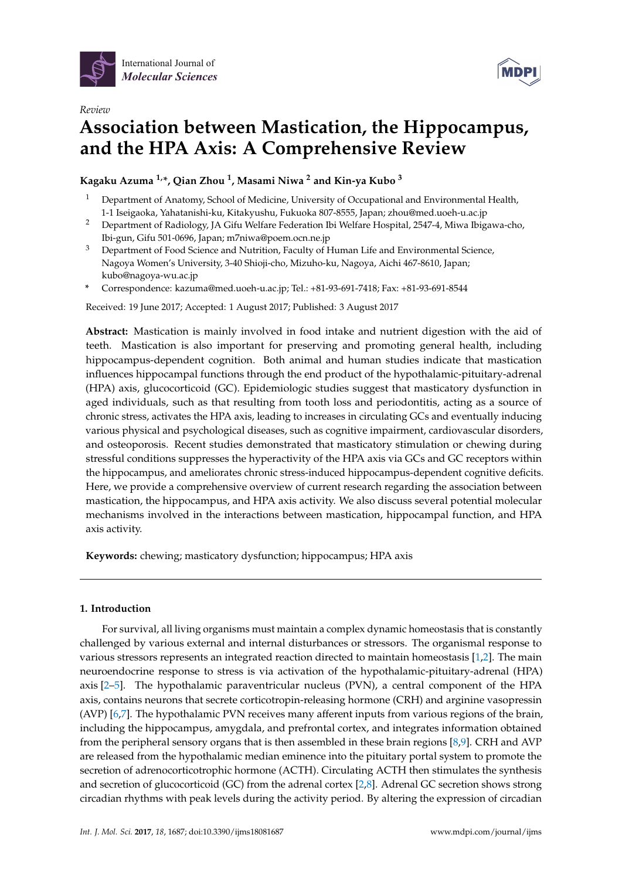

*Review*



# **Association between Mastication, the Hippocampus, and the HPA Axis: A Comprehensive Review**

**Kagaku Azuma 1,\*, Qian Zhou <sup>1</sup> , Masami Niwa <sup>2</sup> and Kin-ya Kubo <sup>3</sup>**

- Department of Anatomy, School of Medicine, University of Occupational and Environmental Health, 1-1 Iseigaoka, Yahatanishi-ku, Kitakyushu, Fukuoka 807-8555, Japan; zhou@med.uoeh-u.ac.jp
- <sup>2</sup> Department of Radiology, JA Gifu Welfare Federation Ibi Welfare Hospital, 2547-4, Miwa Ibigawa-cho, Ibi-gun, Gifu 501-0696, Japan; m7niwa@poem.ocn.ne.jp
- <sup>3</sup> Department of Food Science and Nutrition, Faculty of Human Life and Environmental Science, Nagoya Women's University, 3-40 Shioji-cho, Mizuho-ku, Nagoya, Aichi 467-8610, Japan; kubo@nagoya-wu.ac.jp
- **\*** Correspondence: kazuma@med.uoeh-u.ac.jp; Tel.: +81-93-691-7418; Fax: +81-93-691-8544

Received: 19 June 2017; Accepted: 1 August 2017; Published: 3 August 2017

**Abstract:** Mastication is mainly involved in food intake and nutrient digestion with the aid of teeth. Mastication is also important for preserving and promoting general health, including hippocampus-dependent cognition. Both animal and human studies indicate that mastication influences hippocampal functions through the end product of the hypothalamic-pituitary-adrenal (HPA) axis, glucocorticoid (GC). Epidemiologic studies suggest that masticatory dysfunction in aged individuals, such as that resulting from tooth loss and periodontitis, acting as a source of chronic stress, activates the HPA axis, leading to increases in circulating GCs and eventually inducing various physical and psychological diseases, such as cognitive impairment, cardiovascular disorders, and osteoporosis. Recent studies demonstrated that masticatory stimulation or chewing during stressful conditions suppresses the hyperactivity of the HPA axis via GCs and GC receptors within the hippocampus, and ameliorates chronic stress-induced hippocampus-dependent cognitive deficits. Here, we provide a comprehensive overview of current research regarding the association between mastication, the hippocampus, and HPA axis activity. We also discuss several potential molecular mechanisms involved in the interactions between mastication, hippocampal function, and HPA axis activity.

**Keywords:** chewing; masticatory dysfunction; hippocampus; HPA axis

# **1. Introduction**

For survival, all living organisms must maintain a complex dynamic homeostasis that is constantly challenged by various external and internal disturbances or stressors. The organismal response to various stressors represents an integrated reaction directed to maintain homeostasis [\[1,](#page-8-0)[2\]](#page-8-1). The main neuroendocrine response to stress is via activation of the hypothalamic-pituitary-adrenal (HPA) axis [\[2–](#page-8-1)[5\]](#page-8-2). The hypothalamic paraventricular nucleus (PVN), a central component of the HPA axis, contains neurons that secrete corticotropin-releasing hormone (CRH) and arginine vasopressin (AVP) [\[6](#page-8-3)[,7\]](#page-8-4). The hypothalamic PVN receives many afferent inputs from various regions of the brain, including the hippocampus, amygdala, and prefrontal cortex, and integrates information obtained from the peripheral sensory organs that is then assembled in these brain regions [\[8](#page-8-5)[,9\]](#page-8-6). CRH and AVP are released from the hypothalamic median eminence into the pituitary portal system to promote the secretion of adrenocorticotrophic hormone (ACTH). Circulating ACTH then stimulates the synthesis and secretion of glucocorticoid (GC) from the adrenal cortex [\[2,](#page-8-1)[8\]](#page-8-5). Adrenal GC secretion shows strong circadian rhythms with peak levels during the activity period. By altering the expression of circadian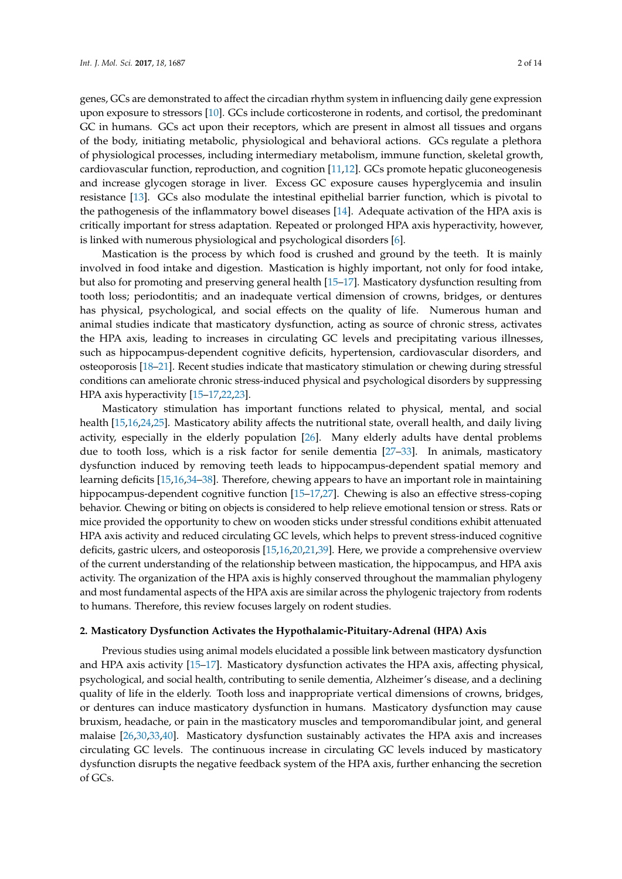genes, GCs are demonstrated to affect the circadian rhythm system in influencing daily gene expression upon exposure to stressors [\[10\]](#page-8-7). GCs include corticosterone in rodents, and cortisol, the predominant GC in humans. GCs act upon their receptors, which are present in almost all tissues and organs of the body, initiating metabolic, physiological and behavioral actions. GCs regulate a plethora of physiological processes, including intermediary metabolism, immune function, skeletal growth, cardiovascular function, reproduction, and cognition [\[11,](#page-8-8)[12\]](#page-8-9). GCs promote hepatic gluconeogenesis and increase glycogen storage in liver. Excess GC exposure causes hyperglycemia and insulin resistance [\[13\]](#page-8-10). GCs also modulate the intestinal epithelial barrier function, which is pivotal to the pathogenesis of the inflammatory bowel diseases [\[14\]](#page-8-11). Adequate activation of the HPA axis is critically important for stress adaptation. Repeated or prolonged HPA axis hyperactivity, however, is linked with numerous physiological and psychological disorders [\[6\]](#page-8-3).

Mastication is the process by which food is crushed and ground by the teeth. It is mainly involved in food intake and digestion. Mastication is highly important, not only for food intake, but also for promoting and preserving general health [\[15–](#page-8-12)[17\]](#page-8-13). Masticatory dysfunction resulting from tooth loss; periodontitis; and an inadequate vertical dimension of crowns, bridges, or dentures has physical, psychological, and social effects on the quality of life. Numerous human and animal studies indicate that masticatory dysfunction, acting as source of chronic stress, activates the HPA axis, leading to increases in circulating GC levels and precipitating various illnesses, such as hippocampus-dependent cognitive deficits, hypertension, cardiovascular disorders, and osteoporosis [\[18–](#page-8-14)[21\]](#page-8-15). Recent studies indicate that masticatory stimulation or chewing during stressful conditions can ameliorate chronic stress-induced physical and psychological disorders by suppressing HPA axis hyperactivity [\[15–](#page-8-12)[17,](#page-8-13)[22](#page-8-16)[,23\]](#page-9-0).

Masticatory stimulation has important functions related to physical, mental, and social health [\[15](#page-8-12)[,16](#page-8-17)[,24,](#page-9-1)[25\]](#page-9-2). Masticatory ability affects the nutritional state, overall health, and daily living activity, especially in the elderly population [\[26\]](#page-9-3). Many elderly adults have dental problems due to tooth loss, which is a risk factor for senile dementia [\[27](#page-9-4)[–33\]](#page-9-5). In animals, masticatory dysfunction induced by removing teeth leads to hippocampus-dependent spatial memory and learning deficits [\[15,](#page-8-12)[16,](#page-8-17)[34–](#page-9-6)[38\]](#page-9-7). Therefore, chewing appears to have an important role in maintaining hippocampus-dependent cognitive function [\[15–](#page-8-12)[17,](#page-8-13)[27\]](#page-9-4). Chewing is also an effective stress-coping behavior. Chewing or biting on objects is considered to help relieve emotional tension or stress. Rats or mice provided the opportunity to chew on wooden sticks under stressful conditions exhibit attenuated HPA axis activity and reduced circulating GC levels, which helps to prevent stress-induced cognitive deficits, gastric ulcers, and osteoporosis [\[15](#page-8-12)[,16,](#page-8-17)[20,](#page-8-18)[21,](#page-8-15)[39\]](#page-9-8). Here, we provide a comprehensive overview of the current understanding of the relationship between mastication, the hippocampus, and HPA axis activity. The organization of the HPA axis is highly conserved throughout the mammalian phylogeny and most fundamental aspects of the HPA axis are similar across the phylogenic trajectory from rodents to humans. Therefore, this review focuses largely on rodent studies.

## **2. Masticatory Dysfunction Activates the Hypothalamic-Pituitary-Adrenal (HPA) Axis**

Previous studies using animal models elucidated a possible link between masticatory dysfunction and HPA axis activity [\[15–](#page-8-12)[17\]](#page-8-13). Masticatory dysfunction activates the HPA axis, affecting physical, psychological, and social health, contributing to senile dementia, Alzheimer's disease, and a declining quality of life in the elderly. Tooth loss and inappropriate vertical dimensions of crowns, bridges, or dentures can induce masticatory dysfunction in humans. Masticatory dysfunction may cause bruxism, headache, or pain in the masticatory muscles and temporomandibular joint, and general malaise [\[26,](#page-9-3)[30,](#page-9-9)[33,](#page-9-5)[40\]](#page-9-10). Masticatory dysfunction sustainably activates the HPA axis and increases circulating GC levels. The continuous increase in circulating GC levels induced by masticatory dysfunction disrupts the negative feedback system of the HPA axis, further enhancing the secretion of GCs.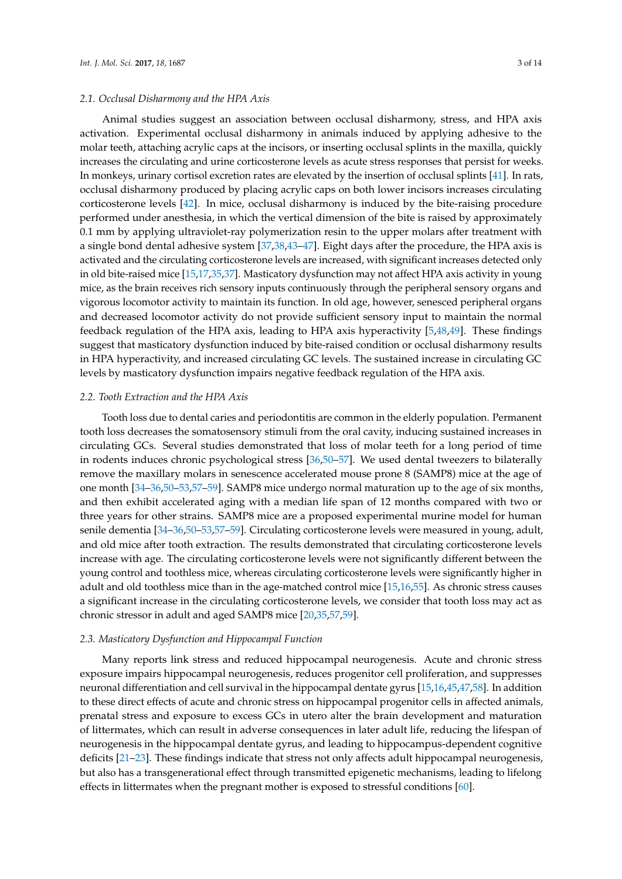Animal studies suggest an association between occlusal disharmony, stress, and HPA axis activation. Experimental occlusal disharmony in animals induced by applying adhesive to the molar teeth, attaching acrylic caps at the incisors, or inserting occlusal splints in the maxilla, quickly increases the circulating and urine corticosterone levels as acute stress responses that persist for weeks. In monkeys, urinary cortisol excretion rates are elevated by the insertion of occlusal splints [\[41\]](#page-9-11). In rats, occlusal disharmony produced by placing acrylic caps on both lower incisors increases circulating corticosterone levels [\[42\]](#page-9-12). In mice, occlusal disharmony is induced by the bite-raising procedure performed under anesthesia, in which the vertical dimension of the bite is raised by approximately 0.1 mm by applying ultraviolet-ray polymerization resin to the upper molars after treatment with a single bond dental adhesive system [\[37,](#page-9-13)[38](#page-9-7)[,43](#page-10-0)[–47\]](#page-10-1). Eight days after the procedure, the HPA axis is activated and the circulating corticosterone levels are increased, with significant increases detected only in old bite-raised mice [\[15](#page-8-12)[,17](#page-8-13)[,35,](#page-9-14)[37\]](#page-9-13). Masticatory dysfunction may not affect HPA axis activity in young mice, as the brain receives rich sensory inputs continuously through the peripheral sensory organs and vigorous locomotor activity to maintain its function. In old age, however, senesced peripheral organs and decreased locomotor activity do not provide sufficient sensory input to maintain the normal feedback regulation of the HPA axis, leading to HPA axis hyperactivity [\[5](#page-8-2)[,48](#page-10-2)[,49\]](#page-10-3). These findings suggest that masticatory dysfunction induced by bite-raised condition or occlusal disharmony results in HPA hyperactivity, and increased circulating GC levels. The sustained increase in circulating GC levels by masticatory dysfunction impairs negative feedback regulation of the HPA axis.

#### *2.2. Tooth Extraction and the HPA Axis*

Tooth loss due to dental caries and periodontitis are common in the elderly population. Permanent tooth loss decreases the somatosensory stimuli from the oral cavity, inducing sustained increases in circulating GCs. Several studies demonstrated that loss of molar teeth for a long period of time in rodents induces chronic psychological stress [\[36,](#page-9-15)[50](#page-10-4)[–57\]](#page-10-5). We used dental tweezers to bilaterally remove the maxillary molars in senescence accelerated mouse prone 8 (SAMP8) mice at the age of one month [\[34](#page-9-6)[–36](#page-9-15)[,50](#page-10-4)[–53](#page-10-6)[,57–](#page-10-5)[59\]](#page-10-7). SAMP8 mice undergo normal maturation up to the age of six months, and then exhibit accelerated aging with a median life span of 12 months compared with two or three years for other strains. SAMP8 mice are a proposed experimental murine model for human senile dementia [\[34–](#page-9-6)[36,](#page-9-15)[50–](#page-10-4)[53](#page-10-6)[,57](#page-10-5)[–59\]](#page-10-7). Circulating corticosterone levels were measured in young, adult, and old mice after tooth extraction. The results demonstrated that circulating corticosterone levels increase with age. The circulating corticosterone levels were not significantly different between the young control and toothless mice, whereas circulating corticosterone levels were significantly higher in adult and old toothless mice than in the age-matched control mice [\[15,](#page-8-12)[16,](#page-8-17)[55\]](#page-10-8). As chronic stress causes a significant increase in the circulating corticosterone levels, we consider that tooth loss may act as chronic stressor in adult and aged SAMP8 mice [\[20,](#page-8-18)[35,](#page-9-14)[57](#page-10-5)[,59\]](#page-10-7).

### *2.3. Masticatory Dysfunction and Hippocampal Function*

Many reports link stress and reduced hippocampal neurogenesis. Acute and chronic stress exposure impairs hippocampal neurogenesis, reduces progenitor cell proliferation, and suppresses neuronal differentiation and cell survival in the hippocampal dentate gyrus [\[15](#page-8-12)[,16,](#page-8-17)[45,](#page-10-9)[47,](#page-10-1)[58\]](#page-10-10). In addition to these direct effects of acute and chronic stress on hippocampal progenitor cells in affected animals, prenatal stress and exposure to excess GCs in utero alter the brain development and maturation of littermates, which can result in adverse consequences in later adult life, reducing the lifespan of neurogenesis in the hippocampal dentate gyrus, and leading to hippocampus-dependent cognitive deficits [\[21](#page-8-15)[–23\]](#page-9-0). These findings indicate that stress not only affects adult hippocampal neurogenesis, but also has a transgenerational effect through transmitted epigenetic mechanisms, leading to lifelong effects in littermates when the pregnant mother is exposed to stressful conditions [\[60\]](#page-10-11).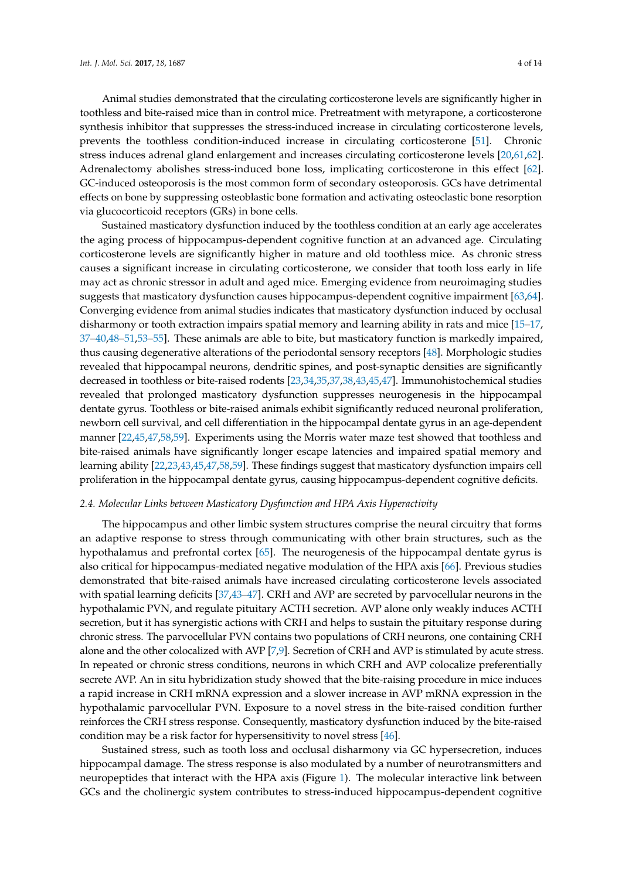Animal studies demonstrated that the circulating corticosterone levels are significantly higher in toothless and bite-raised mice than in control mice. Pretreatment with metyrapone, a corticosterone synthesis inhibitor that suppresses the stress-induced increase in circulating corticosterone levels, prevents the toothless condition-induced increase in circulating corticosterone [\[51\]](#page-10-12). Chronic stress induces adrenal gland enlargement and increases circulating corticosterone levels [\[20,](#page-8-18)[61,](#page-10-13)[62\]](#page-11-0). Adrenalectomy abolishes stress-induced bone loss, implicating corticosterone in this effect [\[62\]](#page-11-0). GC-induced osteoporosis is the most common form of secondary osteoporosis. GCs have detrimental effects on bone by suppressing osteoblastic bone formation and activating osteoclastic bone resorption via glucocorticoid receptors (GRs) in bone cells.

Sustained masticatory dysfunction induced by the toothless condition at an early age accelerates the aging process of hippocampus-dependent cognitive function at an advanced age. Circulating corticosterone levels are significantly higher in mature and old toothless mice. As chronic stress causes a significant increase in circulating corticosterone, we consider that tooth loss early in life may act as chronic stressor in adult and aged mice. Emerging evidence from neuroimaging studies suggests that masticatory dysfunction causes hippocampus-dependent cognitive impairment [\[63,](#page-11-1)[64\]](#page-11-2). Converging evidence from animal studies indicates that masticatory dysfunction induced by occlusal disharmony or tooth extraction impairs spatial memory and learning ability in rats and mice [\[15–](#page-8-12)[17,](#page-8-13) [37](#page-9-13)[–40,](#page-9-10)[48](#page-10-2)[–51,](#page-10-12)[53–](#page-10-6)[55\]](#page-10-8). These animals are able to bite, but masticatory function is markedly impaired, thus causing degenerative alterations of the periodontal sensory receptors [\[48\]](#page-10-2). Morphologic studies revealed that hippocampal neurons, dendritic spines, and post-synaptic densities are significantly decreased in toothless or bite-raised rodents [\[23,](#page-9-0)[34,](#page-9-6)[35,](#page-9-14)[37,](#page-9-13)[38,](#page-9-7)[43,](#page-10-0)[45,](#page-10-9)[47\]](#page-10-1). Immunohistochemical studies revealed that prolonged masticatory dysfunction suppresses neurogenesis in the hippocampal dentate gyrus. Toothless or bite-raised animals exhibit significantly reduced neuronal proliferation, newborn cell survival, and cell differentiation in the hippocampal dentate gyrus in an age-dependent manner [\[22](#page-8-16)[,45](#page-10-9)[,47](#page-10-1)[,58,](#page-10-10)[59\]](#page-10-7). Experiments using the Morris water maze test showed that toothless and bite-raised animals have significantly longer escape latencies and impaired spatial memory and learning ability [\[22](#page-8-16)[,23](#page-9-0)[,43,](#page-10-0)[45,](#page-10-9)[47](#page-10-1)[,58](#page-10-10)[,59\]](#page-10-7). These findings suggest that masticatory dysfunction impairs cell proliferation in the hippocampal dentate gyrus, causing hippocampus-dependent cognitive deficits.

### *2.4. Molecular Links between Masticatory Dysfunction and HPA Axis Hyperactivity*

The hippocampus and other limbic system structures comprise the neural circuitry that forms an adaptive response to stress through communicating with other brain structures, such as the hypothalamus and prefrontal cortex [\[65\]](#page-11-3). The neurogenesis of the hippocampal dentate gyrus is also critical for hippocampus-mediated negative modulation of the HPA axis [\[66\]](#page-11-4). Previous studies demonstrated that bite-raised animals have increased circulating corticosterone levels associated with spatial learning deficits [\[37,](#page-9-13)[43–](#page-10-0)[47\]](#page-10-1). CRH and AVP are secreted by parvocellular neurons in the hypothalamic PVN, and regulate pituitary ACTH secretion. AVP alone only weakly induces ACTH secretion, but it has synergistic actions with CRH and helps to sustain the pituitary response during chronic stress. The parvocellular PVN contains two populations of CRH neurons, one containing CRH alone and the other colocalized with AVP [\[7,](#page-8-4)[9\]](#page-8-6). Secretion of CRH and AVP is stimulated by acute stress. In repeated or chronic stress conditions, neurons in which CRH and AVP colocalize preferentially secrete AVP. An in situ hybridization study showed that the bite-raising procedure in mice induces a rapid increase in CRH mRNA expression and a slower increase in AVP mRNA expression in the hypothalamic parvocellular PVN. Exposure to a novel stress in the bite-raised condition further reinforces the CRH stress response. Consequently, masticatory dysfunction induced by the bite-raised condition may be a risk factor for hypersensitivity to novel stress [\[46\]](#page-10-14).

Sustained stress, such as tooth loss and occlusal disharmony via GC hypersecretion, induces hippocampal damage. The stress response is also modulated by a number of neurotransmitters and neuropeptides that interact with the HPA axis (Figure [1\)](#page-4-0). The molecular interactive link between GCs and the cholinergic system contributes to stress-induced hippocampus-dependent cognitive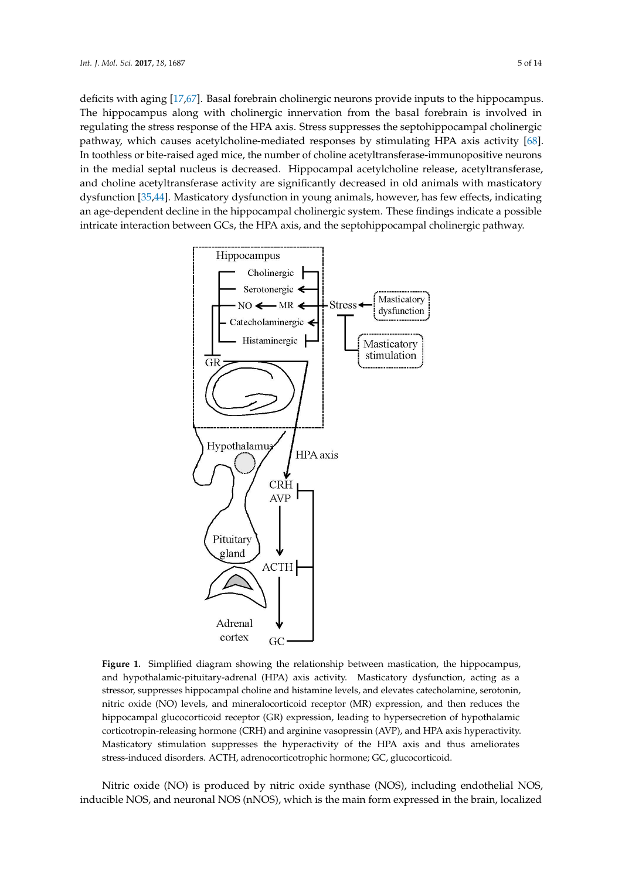deficits with aging [\[17](#page-8-13)[,67\]](#page-11-5). Basal forebrain cholinergic neurons provide inputs to the hippocampus. The hippocampus along with cholinergic innervation from the basal forebrain is involved in regulating the stress response of the HPA axis. Stress suppresses the septohippocampal cholinergic pathway, which causes acetylcholine-mediated responses by stimulating HPA axis activity  $[68]$ . In toothless or bite-raised aged mice, the number of choline acetyltransferase-immunopositive neurons in the medial septal nucleus is decreased. Hippocampal acetylcholine release, acetyltransferase, and choline acetyltransferase activity are significantly decreased in old animals with masticatory dysfunction [\[35,](#page-9-14)[44\]](#page-10-15). Masticatory dysfunction in young animals, however, has few effects, indicating an age-dependent decline in the hippocampal cholinergic system. These findings indicate a possible dependent decline in the hippocampal cholinergic system. These findings indicate a possible intricate intricate interaction between  $\mathrm{GCs}$ , the HPA axis, and the septohippocampal cholinergic pathway. function  $\left[\frac{3}{2}5,4\right]$ . Masticatory dysfunction in young animals, however, has few effects, indi-

<span id="page-4-0"></span>

Figure 1. Simplified diagram showing the relationship between mastication, the hippocampus, and hypothalamic-pituitary-adrenal (HPA) axis activity. Masticatory dysfunction, acting as a suppresses hippocampal choline and histamine levels, and elevates catecholamine, serotonin, nitric stressor, suppresses hippocampal choline and histamine levels, and elevates catecholamine, serotonin, stre nitric oxide (NO) levels, and mineralocorticoid receptor (MR) expression, and then reduces the hippocampal glucocorticoid receptor (GR) expression, leading to hypersecretion of hypothalamic corticotropin-releasing hormone (CRH) and arginine vasopressin (AVP), and HPA axis hyperactivity. Masticatory stimulation suppresses the hyperactivity of the HPA axis and thus ameliorates stress-induced disorders. ACTH, adrenocorticotrophic hormone; GC, glucocorticoid.

Nitric oxide (NO) is produced by nitric oxide synthase (NOS), including endothelial NOS, inducible NOS, and neuronal NOS (nNOS), which is the main form expressed in the brain, localized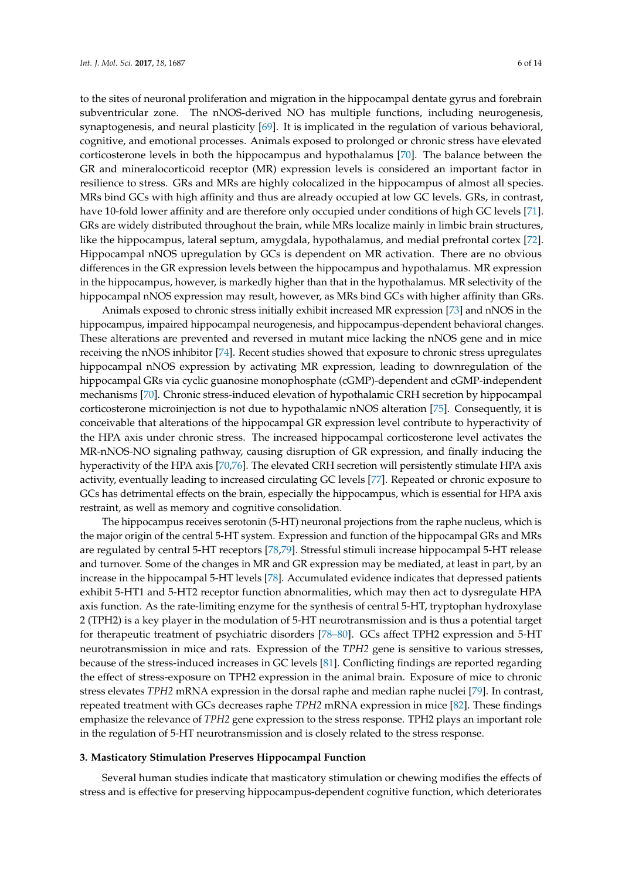to the sites of neuronal proliferation and migration in the hippocampal dentate gyrus and forebrain subventricular zone. The nNOS-derived NO has multiple functions, including neurogenesis, synaptogenesis, and neural plasticity [\[69\]](#page-11-7). It is implicated in the regulation of various behavioral, cognitive, and emotional processes. Animals exposed to prolonged or chronic stress have elevated corticosterone levels in both the hippocampus and hypothalamus [\[70\]](#page-11-8). The balance between the GR and mineralocorticoid receptor (MR) expression levels is considered an important factor in resilience to stress. GRs and MRs are highly colocalized in the hippocampus of almost all species. MRs bind GCs with high affinity and thus are already occupied at low GC levels. GRs, in contrast, have 10-fold lower affinity and are therefore only occupied under conditions of high GC levels [\[71\]](#page-11-9). GRs are widely distributed throughout the brain, while MRs localize mainly in limbic brain structures, like the hippocampus, lateral septum, amygdala, hypothalamus, and medial prefrontal cortex [\[72\]](#page-11-10). Hippocampal nNOS upregulation by GCs is dependent on MR activation. There are no obvious differences in the GR expression levels between the hippocampus and hypothalamus. MR expression in the hippocampus, however, is markedly higher than that in the hypothalamus. MR selectivity of the hippocampal nNOS expression may result, however, as MRs bind GCs with higher affinity than GRs.

Animals exposed to chronic stress initially exhibit increased MR expression [\[73\]](#page-11-11) and nNOS in the hippocampus, impaired hippocampal neurogenesis, and hippocampus-dependent behavioral changes. These alterations are prevented and reversed in mutant mice lacking the nNOS gene and in mice receiving the nNOS inhibitor [\[74\]](#page-11-12). Recent studies showed that exposure to chronic stress upregulates hippocampal nNOS expression by activating MR expression, leading to downregulation of the hippocampal GRs via cyclic guanosine monophosphate (cGMP)-dependent and cGMP-independent mechanisms [\[70\]](#page-11-8). Chronic stress-induced elevation of hypothalamic CRH secretion by hippocampal corticosterone microinjection is not due to hypothalamic nNOS alteration [\[75\]](#page-11-13). Consequently, it is conceivable that alterations of the hippocampal GR expression level contribute to hyperactivity of the HPA axis under chronic stress. The increased hippocampal corticosterone level activates the MR-nNOS-NO signaling pathway, causing disruption of GR expression, and finally inducing the hyperactivity of the HPA axis [\[70,](#page-11-8)[76\]](#page-11-14). The elevated CRH secretion will persistently stimulate HPA axis activity, eventually leading to increased circulating GC levels [\[77\]](#page-11-15). Repeated or chronic exposure to GCs has detrimental effects on the brain, especially the hippocampus, which is essential for HPA axis restraint, as well as memory and cognitive consolidation.

The hippocampus receives serotonin (5-HT) neuronal projections from the raphe nucleus, which is the major origin of the central 5-HT system. Expression and function of the hippocampal GRs and MRs are regulated by central 5-HT receptors [\[78](#page-11-16)[,79\]](#page-11-17). Stressful stimuli increase hippocampal 5-HT release and turnover. Some of the changes in MR and GR expression may be mediated, at least in part, by an increase in the hippocampal 5-HT levels [\[78\]](#page-11-16). Accumulated evidence indicates that depressed patients exhibit 5-HT1 and 5-HT2 receptor function abnormalities, which may then act to dysregulate HPA axis function. As the rate-limiting enzyme for the synthesis of central 5-HT, tryptophan hydroxylase 2 (TPH2) is a key player in the modulation of 5-HT neurotransmission and is thus a potential target for therapeutic treatment of psychiatric disorders [\[78–](#page-11-16)[80\]](#page-11-18). GCs affect TPH2 expression and 5-HT neurotransmission in mice and rats. Expression of the *TPH2* gene is sensitive to various stresses, because of the stress-induced increases in GC levels [\[81\]](#page-11-19). Conflicting findings are reported regarding the effect of stress-exposure on TPH2 expression in the animal brain. Exposure of mice to chronic stress elevates *TPH2* mRNA expression in the dorsal raphe and median raphe nuclei [\[79\]](#page-11-17). In contrast, repeated treatment with GCs decreases raphe *TPH2* mRNA expression in mice [\[82\]](#page-11-20). These findings emphasize the relevance of *TPH2* gene expression to the stress response. TPH2 plays an important role in the regulation of 5-HT neurotransmission and is closely related to the stress response.

## **3. Masticatory Stimulation Preserves Hippocampal Function**

Several human studies indicate that masticatory stimulation or chewing modifies the effects of stress and is effective for preserving hippocampus-dependent cognitive function, which deteriorates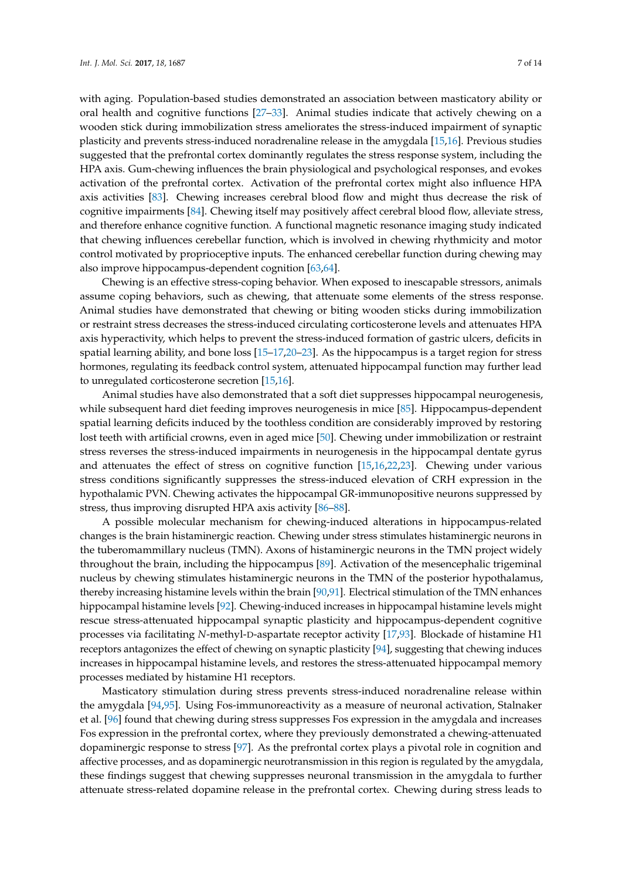with aging. Population-based studies demonstrated an association between masticatory ability or oral health and cognitive functions [\[27](#page-9-4)[–33\]](#page-9-5). Animal studies indicate that actively chewing on a wooden stick during immobilization stress ameliorates the stress-induced impairment of synaptic plasticity and prevents stress-induced noradrenaline release in the amygdala [\[15,](#page-8-12)[16\]](#page-8-17). Previous studies suggested that the prefrontal cortex dominantly regulates the stress response system, including the HPA axis. Gum-chewing influences the brain physiological and psychological responses, and evokes activation of the prefrontal cortex. Activation of the prefrontal cortex might also influence HPA axis activities [\[83\]](#page-11-21). Chewing increases cerebral blood flow and might thus decrease the risk of cognitive impairments [\[84\]](#page-12-0). Chewing itself may positively affect cerebral blood flow, alleviate stress, and therefore enhance cognitive function. A functional magnetic resonance imaging study indicated that chewing influences cerebellar function, which is involved in chewing rhythmicity and motor control motivated by proprioceptive inputs. The enhanced cerebellar function during chewing may also improve hippocampus-dependent cognition [\[63](#page-11-1)[,64\]](#page-11-2).

Chewing is an effective stress-coping behavior. When exposed to inescapable stressors, animals assume coping behaviors, such as chewing, that attenuate some elements of the stress response. Animal studies have demonstrated that chewing or biting wooden sticks during immobilization or restraint stress decreases the stress-induced circulating corticosterone levels and attenuates HPA axis hyperactivity, which helps to prevent the stress-induced formation of gastric ulcers, deficits in spatial learning ability, and bone loss [\[15](#page-8-12)[–17](#page-8-13)[,20–](#page-8-18)[23\]](#page-9-0). As the hippocampus is a target region for stress hormones, regulating its feedback control system, attenuated hippocampal function may further lead to unregulated corticosterone secretion [\[15](#page-8-12)[,16\]](#page-8-17).

Animal studies have also demonstrated that a soft diet suppresses hippocampal neurogenesis, while subsequent hard diet feeding improves neurogenesis in mice [\[85\]](#page-12-1). Hippocampus-dependent spatial learning deficits induced by the toothless condition are considerably improved by restoring lost teeth with artificial crowns, even in aged mice [\[50\]](#page-10-4). Chewing under immobilization or restraint stress reverses the stress-induced impairments in neurogenesis in the hippocampal dentate gyrus and attenuates the effect of stress on cognitive function [\[15,](#page-8-12)[16,](#page-8-17)[22,](#page-8-16)[23\]](#page-9-0). Chewing under various stress conditions significantly suppresses the stress-induced elevation of CRH expression in the hypothalamic PVN. Chewing activates the hippocampal GR-immunopositive neurons suppressed by stress, thus improving disrupted HPA axis activity [\[86–](#page-12-2)[88\]](#page-12-3).

A possible molecular mechanism for chewing-induced alterations in hippocampus-related changes is the brain histaminergic reaction. Chewing under stress stimulates histaminergic neurons in the tuberomammillary nucleus (TMN). Axons of histaminergic neurons in the TMN project widely throughout the brain, including the hippocampus [\[89\]](#page-12-4). Activation of the mesencephalic trigeminal nucleus by chewing stimulates histaminergic neurons in the TMN of the posterior hypothalamus, thereby increasing histamine levels within the brain [\[90](#page-12-5)[,91\]](#page-12-6). Electrical stimulation of the TMN enhances hippocampal histamine levels [\[92\]](#page-12-7). Chewing-induced increases in hippocampal histamine levels might rescue stress-attenuated hippocampal synaptic plasticity and hippocampus-dependent cognitive processes via facilitating *N*-methyl-D-aspartate receptor activity [\[17,](#page-8-13)[93\]](#page-12-8). Blockade of histamine H1 receptors antagonizes the effect of chewing on synaptic plasticity [\[94\]](#page-12-9), suggesting that chewing induces increases in hippocampal histamine levels, and restores the stress-attenuated hippocampal memory processes mediated by histamine H1 receptors.

Masticatory stimulation during stress prevents stress-induced noradrenaline release within the amygdala [\[94,](#page-12-9)[95\]](#page-12-10). Using Fos-immunoreactivity as a measure of neuronal activation, Stalnaker et al. [\[96\]](#page-12-11) found that chewing during stress suppresses Fos expression in the amygdala and increases Fos expression in the prefrontal cortex, where they previously demonstrated a chewing-attenuated dopaminergic response to stress [\[97\]](#page-12-12). As the prefrontal cortex plays a pivotal role in cognition and affective processes, and as dopaminergic neurotransmission in this region is regulated by the amygdala, these findings suggest that chewing suppresses neuronal transmission in the amygdala to further attenuate stress-related dopamine release in the prefrontal cortex. Chewing during stress leads to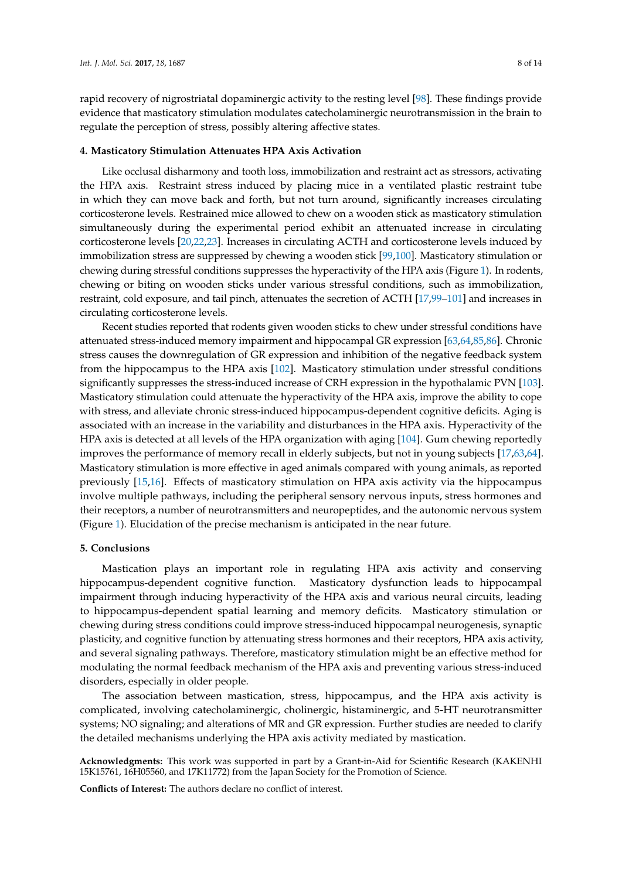rapid recovery of nigrostriatal dopaminergic activity to the resting level [\[98\]](#page-12-13). These findings provide evidence that masticatory stimulation modulates catecholaminergic neurotransmission in the brain to regulate the perception of stress, possibly altering affective states.

#### **4. Masticatory Stimulation Attenuates HPA Axis Activation**

Like occlusal disharmony and tooth loss, immobilization and restraint act as stressors, activating the HPA axis. Restraint stress induced by placing mice in a ventilated plastic restraint tube in which they can move back and forth, but not turn around, significantly increases circulating corticosterone levels. Restrained mice allowed to chew on a wooden stick as masticatory stimulation simultaneously during the experimental period exhibit an attenuated increase in circulating corticosterone levels [\[20,](#page-8-18)[22,](#page-8-16)[23\]](#page-9-0). Increases in circulating ACTH and corticosterone levels induced by immobilization stress are suppressed by chewing a wooden stick [\[99,](#page-12-14)[100\]](#page-12-15). Masticatory stimulation or chewing during stressful conditions suppresses the hyperactivity of the HPA axis (Figure [1\)](#page-4-0). In rodents, chewing or biting on wooden sticks under various stressful conditions, such as immobilization, restraint, cold exposure, and tail pinch, attenuates the secretion of ACTH [\[17,](#page-8-13)[99](#page-12-14)[–101\]](#page-12-16) and increases in circulating corticosterone levels.

Recent studies reported that rodents given wooden sticks to chew under stressful conditions have attenuated stress-induced memory impairment and hippocampal GR expression [\[63](#page-11-1)[,64,](#page-11-2)[85,](#page-12-1)[86\]](#page-12-2). Chronic stress causes the downregulation of GR expression and inhibition of the negative feedback system from the hippocampus to the HPA axis [\[102\]](#page-12-17). Masticatory stimulation under stressful conditions significantly suppresses the stress-induced increase of CRH expression in the hypothalamic PVN [\[103\]](#page-13-0). Masticatory stimulation could attenuate the hyperactivity of the HPA axis, improve the ability to cope with stress, and alleviate chronic stress-induced hippocampus-dependent cognitive deficits. Aging is associated with an increase in the variability and disturbances in the HPA axis. Hyperactivity of the HPA axis is detected at all levels of the HPA organization with aging [\[104\]](#page-13-1). Gum chewing reportedly improves the performance of memory recall in elderly subjects, but not in young subjects [\[17,](#page-8-13)[63,](#page-11-1)[64\]](#page-11-2). Masticatory stimulation is more effective in aged animals compared with young animals, as reported previously [\[15](#page-8-12)[,16\]](#page-8-17). Effects of masticatory stimulation on HPA axis activity via the hippocampus involve multiple pathways, including the peripheral sensory nervous inputs, stress hormones and their receptors, a number of neurotransmitters and neuropeptides, and the autonomic nervous system (Figure [1\)](#page-4-0). Elucidation of the precise mechanism is anticipated in the near future.

### **5. Conclusions**

Mastication plays an important role in regulating HPA axis activity and conserving hippocampus-dependent cognitive function. Masticatory dysfunction leads to hippocampal impairment through inducing hyperactivity of the HPA axis and various neural circuits, leading to hippocampus-dependent spatial learning and memory deficits. Masticatory stimulation or chewing during stress conditions could improve stress-induced hippocampal neurogenesis, synaptic plasticity, and cognitive function by attenuating stress hormones and their receptors, HPA axis activity, and several signaling pathways. Therefore, masticatory stimulation might be an effective method for modulating the normal feedback mechanism of the HPA axis and preventing various stress-induced disorders, especially in older people.

The association between mastication, stress, hippocampus, and the HPA axis activity is complicated, involving catecholaminergic, cholinergic, histaminergic, and 5-HT neurotransmitter systems; NO signaling; and alterations of MR and GR expression. Further studies are needed to clarify the detailed mechanisms underlying the HPA axis activity mediated by mastication.

**Acknowledgments:** This work was supported in part by a Grant-in-Aid for Scientific Research (KAKENHI 15K15761, 16H05560, and 17K11772) from the Japan Society for the Promotion of Science.

**Conflicts of Interest:** The authors declare no conflict of interest.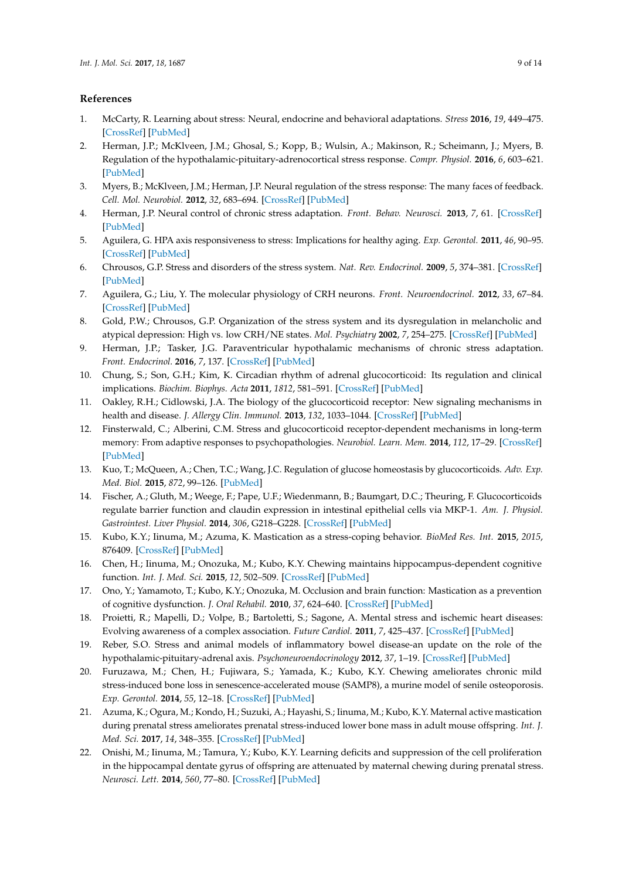# **References**

- <span id="page-8-0"></span>1. McCarty, R. Learning about stress: Neural, endocrine and behavioral adaptations. *Stress* **2016**, *19*, 449–475. [\[CrossRef\]](http://dx.doi.org/10.1080/10253890.2016.1192120) [\[PubMed\]](http://www.ncbi.nlm.nih.gov/pubmed/27294884)
- <span id="page-8-1"></span>2. Herman, J.P.; McKlveen, J.M.; Ghosal, S.; Kopp, B.; Wulsin, A.; Makinson, R.; Scheimann, J.; Myers, B. Regulation of the hypothalamic-pituitary-adrenocortical stress response. *Compr. Physiol.* **2016**, *6*, 603–621. [\[PubMed\]](http://www.ncbi.nlm.nih.gov/pubmed/27065163)
- 3. Myers, B.; McKlveen, J.M.; Herman, J.P. Neural regulation of the stress response: The many faces of feedback. *Cell. Mol. Neurobiol.* **2012**, *32*, 683–694. [\[CrossRef\]](http://dx.doi.org/10.1007/s10571-012-9801-y) [\[PubMed\]](http://www.ncbi.nlm.nih.gov/pubmed/22302180)
- 4. Herman, J.P. Neural control of chronic stress adaptation. *Front. Behav. Neurosci.* **2013**, *7*, 61. [\[CrossRef\]](http://dx.doi.org/10.3389/fnbeh.2013.00061) [\[PubMed\]](http://www.ncbi.nlm.nih.gov/pubmed/23964212)
- <span id="page-8-2"></span>5. Aguilera, G. HPA axis responsiveness to stress: Implications for healthy aging. *Exp. Gerontol.* **2011**, *46*, 90–95. [\[CrossRef\]](http://dx.doi.org/10.1016/j.exger.2010.08.023) [\[PubMed\]](http://www.ncbi.nlm.nih.gov/pubmed/20833240)
- <span id="page-8-3"></span>6. Chrousos, G.P. Stress and disorders of the stress system. *Nat. Rev. Endocrinol.* **2009**, *5*, 374–381. [\[CrossRef\]](http://dx.doi.org/10.1038/nrendo.2009.106) [\[PubMed\]](http://www.ncbi.nlm.nih.gov/pubmed/19488073)
- <span id="page-8-4"></span>7. Aguilera, G.; Liu, Y. The molecular physiology of CRH neurons. *Front. Neuroendocrinol.* **2012**, *33*, 67–84. [\[CrossRef\]](http://dx.doi.org/10.1016/j.yfrne.2011.08.002) [\[PubMed\]](http://www.ncbi.nlm.nih.gov/pubmed/21871477)
- <span id="page-8-5"></span>8. Gold, P.W.; Chrousos, G.P. Organization of the stress system and its dysregulation in melancholic and atypical depression: High vs. low CRH/NE states. *Mol. Psychiatry* **2002**, *7*, 254–275. [\[CrossRef\]](http://dx.doi.org/10.1038/sj.mp.4001032) [\[PubMed\]](http://www.ncbi.nlm.nih.gov/pubmed/11920153)
- <span id="page-8-6"></span>9. Herman, J.P.; Tasker, J.G. Paraventricular hypothalamic mechanisms of chronic stress adaptation. *Front. Endocrinol.* **2016**, *7*, 137. [\[CrossRef\]](http://dx.doi.org/10.3389/fendo.2016.00137) [\[PubMed\]](http://www.ncbi.nlm.nih.gov/pubmed/27843437)
- <span id="page-8-7"></span>10. Chung, S.; Son, G.H.; Kim, K. Circadian rhythm of adrenal glucocorticoid: Its regulation and clinical implications. *Biochim. Biophys. Acta* **2011**, *1812*, 581–591. [\[CrossRef\]](http://dx.doi.org/10.1016/j.bbadis.2011.02.003) [\[PubMed\]](http://www.ncbi.nlm.nih.gov/pubmed/21320597)
- <span id="page-8-8"></span>11. Oakley, R.H.; Cidlowski, J.A. The biology of the glucocorticoid receptor: New signaling mechanisms in health and disease. *J. Allergy Clin. Immunol.* **2013**, *132*, 1033–1044. [\[CrossRef\]](http://dx.doi.org/10.1016/j.jaci.2013.09.007) [\[PubMed\]](http://www.ncbi.nlm.nih.gov/pubmed/24084075)
- <span id="page-8-9"></span>12. Finsterwald, C.; Alberini, C.M. Stress and glucocorticoid receptor-dependent mechanisms in long-term memory: From adaptive responses to psychopathologies. *Neurobiol. Learn. Mem.* **2014**, *112*, 17–29. [\[CrossRef\]](http://dx.doi.org/10.1016/j.nlm.2013.09.017) [\[PubMed\]](http://www.ncbi.nlm.nih.gov/pubmed/24113652)
- <span id="page-8-10"></span>13. Kuo, T.; McQueen, A.; Chen, T.C.; Wang, J.C. Regulation of glucose homeostasis by glucocorticoids. *Adv. Exp. Med. Biol.* **2015**, *872*, 99–126. [\[PubMed\]](http://www.ncbi.nlm.nih.gov/pubmed/26215992)
- <span id="page-8-11"></span>14. Fischer, A.; Gluth, M.; Weege, F.; Pape, U.F.; Wiedenmann, B.; Baumgart, D.C.; Theuring, F. Glucocorticoids regulate barrier function and claudin expression in intestinal epithelial cells via MKP-1. *Am. J. Physiol. Gastrointest. Liver Physiol.* **2014**, *306*, G218–G228. [\[CrossRef\]](http://dx.doi.org/10.1152/ajpgi.00095.2013) [\[PubMed\]](http://www.ncbi.nlm.nih.gov/pubmed/24309183)
- <span id="page-8-12"></span>15. Kubo, K.Y.; Iinuma, M.; Azuma, K. Mastication as a stress-coping behavior. *BioMed Res. Int.* **2015**, *2015*, 876409. [\[CrossRef\]](http://dx.doi.org/10.1155/2015/876409) [\[PubMed\]](http://www.ncbi.nlm.nih.gov/pubmed/26090453)
- <span id="page-8-17"></span>16. Chen, H.; Iinuma, M.; Onozuka, M.; Kubo, K.Y. Chewing maintains hippocampus-dependent cognitive function. *Int. J. Med. Sci.* **2015**, *12*, 502–509. [\[CrossRef\]](http://dx.doi.org/10.7150/ijms.11911) [\[PubMed\]](http://www.ncbi.nlm.nih.gov/pubmed/26078711)
- <span id="page-8-13"></span>17. Ono, Y.; Yamamoto, T.; Kubo, K.Y.; Onozuka, M. Occlusion and brain function: Mastication as a prevention of cognitive dysfunction. *J. Oral Rehabil.* **2010**, *37*, 624–640. [\[CrossRef\]](http://dx.doi.org/10.1111/j.1365-2842.2010.02079.x) [\[PubMed\]](http://www.ncbi.nlm.nih.gov/pubmed/20236235)
- <span id="page-8-14"></span>18. Proietti, R.; Mapelli, D.; Volpe, B.; Bartoletti, S.; Sagone, A. Mental stress and ischemic heart diseases: Evolving awareness of a complex association. *Future Cardiol.* **2011**, *7*, 425–437. [\[CrossRef\]](http://dx.doi.org/10.2217/fca.11.13) [\[PubMed\]](http://www.ncbi.nlm.nih.gov/pubmed/21627481)
- 19. Reber, S.O. Stress and animal models of inflammatory bowel disease-an update on the role of the hypothalamic-pituitary-adrenal axis. *Psychoneuroendocrinology* **2012**, *37*, 1–19. [\[CrossRef\]](http://dx.doi.org/10.1016/j.psyneuen.2011.05.014) [\[PubMed\]](http://www.ncbi.nlm.nih.gov/pubmed/21741177)
- <span id="page-8-18"></span>20. Furuzawa, M.; Chen, H.; Fujiwara, S.; Yamada, K.; Kubo, K.Y. Chewing ameliorates chronic mild stress-induced bone loss in senescence-accelerated mouse (SAMP8), a murine model of senile osteoporosis. *Exp. Gerontol.* **2014**, *55*, 12–18. [\[CrossRef\]](http://dx.doi.org/10.1016/j.exger.2014.03.003) [\[PubMed\]](http://www.ncbi.nlm.nih.gov/pubmed/24607548)
- <span id="page-8-15"></span>21. Azuma, K.; Ogura, M.; Kondo, H.; Suzuki, A.; Hayashi, S.; Iinuma, M.; Kubo, K.Y. Maternal active mastication during prenatal stress ameliorates prenatal stress-induced lower bone mass in adult mouse offspring. *Int. J. Med. Sci.* **2017**, *14*, 348–355. [\[CrossRef\]](http://dx.doi.org/10.7150/ijms.18298) [\[PubMed\]](http://www.ncbi.nlm.nih.gov/pubmed/28553167)
- <span id="page-8-16"></span>22. Onishi, M.; Iinuma, M.; Tamura, Y.; Kubo, K.Y. Learning deficits and suppression of the cell proliferation in the hippocampal dentate gyrus of offspring are attenuated by maternal chewing during prenatal stress. *Neurosci. Lett.* **2014**, *560*, 77–80. [\[CrossRef\]](http://dx.doi.org/10.1016/j.neulet.2013.12.013) [\[PubMed\]](http://www.ncbi.nlm.nih.gov/pubmed/24355359)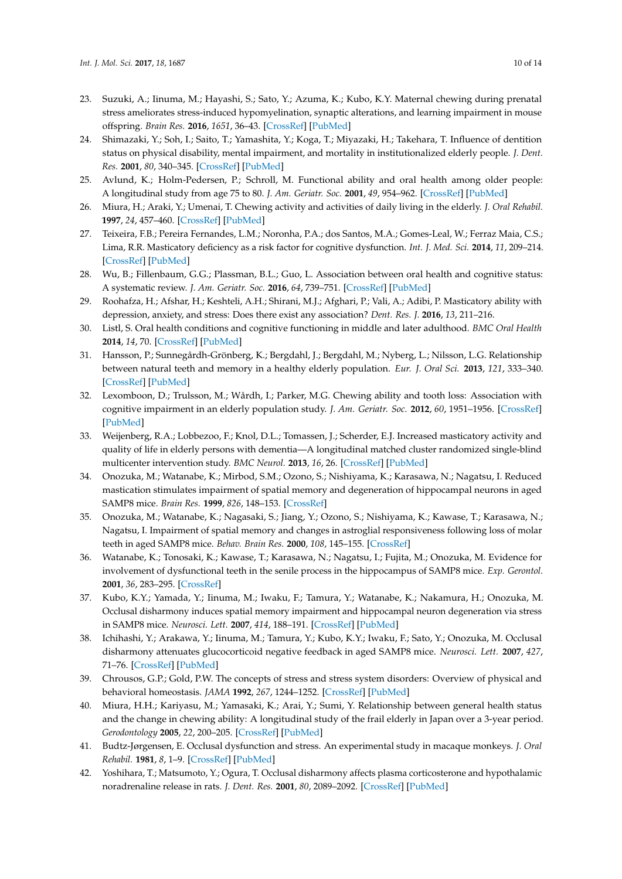- <span id="page-9-0"></span>23. Suzuki, A.; Iinuma, M.; Hayashi, S.; Sato, Y.; Azuma, K.; Kubo, K.Y. Maternal chewing during prenatal stress ameliorates stress-induced hypomyelination, synaptic alterations, and learning impairment in mouse offspring. *Brain Res.* **2016**, *1651*, 36–43. [\[CrossRef\]](http://dx.doi.org/10.1016/j.brainres.2016.09.007) [\[PubMed\]](http://www.ncbi.nlm.nih.gov/pubmed/27613358)
- <span id="page-9-1"></span>24. Shimazaki, Y.; Soh, I.; Saito, T.; Yamashita, Y.; Koga, T.; Miyazaki, H.; Takehara, T. Influence of dentition status on physical disability, mental impairment, and mortality in institutionalized elderly people. *J. Dent. Res.* **2001**, *80*, 340–345. [\[CrossRef\]](http://dx.doi.org/10.1177/00220345010800010801) [\[PubMed\]](http://www.ncbi.nlm.nih.gov/pubmed/11269726)
- <span id="page-9-2"></span>25. Avlund, K.; Holm-Pedersen, P.; Schroll, M. Functional ability and oral health among older people: A longitudinal study from age 75 to 80. *J. Am. Geriatr. Soc.* **2001**, *49*, 954–962. [\[CrossRef\]](http://dx.doi.org/10.1046/j.1532-5415.2001.49187.x) [\[PubMed\]](http://www.ncbi.nlm.nih.gov/pubmed/11527488)
- <span id="page-9-3"></span>26. Miura, H.; Araki, Y.; Umenai, T. Chewing activity and activities of daily living in the elderly. *J. Oral Rehabil.* **1997**, *24*, 457–460. [\[CrossRef\]](http://dx.doi.org/10.1046/j.1365-2842.1997.00530.x) [\[PubMed\]](http://www.ncbi.nlm.nih.gov/pubmed/9219992)
- <span id="page-9-4"></span>27. Teixeira, F.B.; Pereira Fernandes, L.M.; Noronha, P.A.; dos Santos, M.A.; Gomes-Leal, W.; Ferraz Maia, C.S.; Lima, R.R. Masticatory deficiency as a risk factor for cognitive dysfunction. *Int. J. Med. Sci.* **2014**, *11*, 209–214. [\[CrossRef\]](http://dx.doi.org/10.7150/ijms.6801) [\[PubMed\]](http://www.ncbi.nlm.nih.gov/pubmed/24465167)
- 28. Wu, B.; Fillenbaum, G.G.; Plassman, B.L.; Guo, L. Association between oral health and cognitive status: A systematic review. *J. Am. Geriatr. Soc.* **2016**, *64*, 739–751. [\[CrossRef\]](http://dx.doi.org/10.1111/jgs.14036) [\[PubMed\]](http://www.ncbi.nlm.nih.gov/pubmed/27037761)
- 29. Roohafza, H.; Afshar, H.; Keshteli, A.H.; Shirani, M.J.; Afghari, P.; Vali, A.; Adibi, P. Masticatory ability with depression, anxiety, and stress: Does there exist any association? *Dent. Res. J.* **2016**, *13*, 211–216.
- <span id="page-9-9"></span>30. Listl, S. Oral health conditions and cognitive functioning in middle and later adulthood. *BMC Oral Health* **2014**, *14*, 70. [\[CrossRef\]](http://dx.doi.org/10.1186/1472-6831-14-70) [\[PubMed\]](http://www.ncbi.nlm.nih.gov/pubmed/24923362)
- 31. Hansson, P.; Sunnegårdh-Grönberg, K.; Bergdahl, J.; Bergdahl, M.; Nyberg, L.; Nilsson, L.G. Relationship between natural teeth and memory in a healthy elderly population. *Eur. J. Oral Sci.* **2013**, *121*, 333–340. [\[CrossRef\]](http://dx.doi.org/10.1111/eos.12060) [\[PubMed\]](http://www.ncbi.nlm.nih.gov/pubmed/23841785)
- 32. Lexomboon, D.; Trulsson, M.; Wårdh, I.; Parker, M.G. Chewing ability and tooth loss: Association with cognitive impairment in an elderly population study. *J. Am. Geriatr. Soc.* **2012**, *60*, 1951–1956. [\[CrossRef\]](http://dx.doi.org/10.1111/j.1532-5415.2012.04154.x) [\[PubMed\]](http://www.ncbi.nlm.nih.gov/pubmed/23035667)
- <span id="page-9-5"></span>33. Weijenberg, R.A.; Lobbezoo, F.; Knol, D.L.; Tomassen, J.; Scherder, E.J. Increased masticatory activity and quality of life in elderly persons with dementia—A longitudinal matched cluster randomized single-blind multicenter intervention study. *BMC Neurol.* **2013**, *16*, 26. [\[CrossRef\]](http://dx.doi.org/10.1186/1471-2377-13-26) [\[PubMed\]](http://www.ncbi.nlm.nih.gov/pubmed/23496988)
- <span id="page-9-6"></span>34. Onozuka, M.; Watanabe, K.; Mirbod, S.M.; Ozono, S.; Nishiyama, K.; Karasawa, N.; Nagatsu, I. Reduced mastication stimulates impairment of spatial memory and degeneration of hippocampal neurons in aged SAMP8 mice. *Brain Res.* **1999**, *826*, 148–153. [\[CrossRef\]](http://dx.doi.org/10.1016/S0006-8993(99)01255-X)
- <span id="page-9-14"></span>35. Onozuka, M.; Watanabe, K.; Nagasaki, S.; Jiang, Y.; Ozono, S.; Nishiyama, K.; Kawase, T.; Karasawa, N.; Nagatsu, I. Impairment of spatial memory and changes in astroglial responsiveness following loss of molar teeth in aged SAMP8 mice. *Behav. Brain Res.* **2000**, *108*, 145–155. [\[CrossRef\]](http://dx.doi.org/10.1016/S0166-4328(99)00145-X)
- <span id="page-9-15"></span>36. Watanabe, K.; Tonosaki, K.; Kawase, T.; Karasawa, N.; Nagatsu, I.; Fujita, M.; Onozuka, M. Evidence for involvement of dysfunctional teeth in the senile process in the hippocampus of SAMP8 mice. *Exp. Gerontol.* **2001**, *36*, 283–295. [\[CrossRef\]](http://dx.doi.org/10.1016/S0531-5565(00)00216-3)
- <span id="page-9-13"></span>37. Kubo, K.Y.; Yamada, Y.; Iinuma, M.; Iwaku, F.; Tamura, Y.; Watanabe, K.; Nakamura, H.; Onozuka, M. Occlusal disharmony induces spatial memory impairment and hippocampal neuron degeneration via stress in SAMP8 mice. *Neurosci. Lett.* **2007**, *414*, 188–191. [\[CrossRef\]](http://dx.doi.org/10.1016/j.neulet.2006.12.020) [\[PubMed\]](http://www.ncbi.nlm.nih.gov/pubmed/17207572)
- <span id="page-9-7"></span>38. Ichihashi, Y.; Arakawa, Y.; Iinuma, M.; Tamura, Y.; Kubo, K.Y.; Iwaku, F.; Sato, Y.; Onozuka, M. Occlusal disharmony attenuates glucocorticoid negative feedback in aged SAMP8 mice. *Neurosci. Lett.* **2007**, *427*, 71–76. [\[CrossRef\]](http://dx.doi.org/10.1016/j.neulet.2007.09.020) [\[PubMed\]](http://www.ncbi.nlm.nih.gov/pubmed/17928141)
- <span id="page-9-8"></span>39. Chrousos, G.P.; Gold, P.W. The concepts of stress and stress system disorders: Overview of physical and behavioral homeostasis. *JAMA* **1992**, *267*, 1244–1252. [\[CrossRef\]](http://dx.doi.org/10.1001/jama.1992.03480090092034) [\[PubMed\]](http://www.ncbi.nlm.nih.gov/pubmed/1538563)
- <span id="page-9-10"></span>40. Miura, H.H.; Kariyasu, M.; Yamasaki, K.; Arai, Y.; Sumi, Y. Relationship between general health status and the change in chewing ability: A longitudinal study of the frail elderly in Japan over a 3-year period. *Gerodontology* **2005**, *22*, 200–205. [\[CrossRef\]](http://dx.doi.org/10.1111/j.1741-2358.2005.00074.x) [\[PubMed\]](http://www.ncbi.nlm.nih.gov/pubmed/16329227)
- <span id="page-9-11"></span>41. Budtz-Jørgensen, E. Occlusal dysfunction and stress. An experimental study in macaque monkeys. *J. Oral Rehabil.* **1981**, *8*, 1–9. [\[CrossRef\]](http://dx.doi.org/10.1111/j.1365-2842.1981.tb00469.x) [\[PubMed\]](http://www.ncbi.nlm.nih.gov/pubmed/6935390)
- <span id="page-9-12"></span>42. Yoshihara, T.; Matsumoto, Y.; Ogura, T. Occlusal disharmony affects plasma corticosterone and hypothalamic noradrenaline release in rats. *J. Dent. Res.* **2001**, *80*, 2089–2092. [\[CrossRef\]](http://dx.doi.org/10.1177/00220345010800121301) [\[PubMed\]](http://www.ncbi.nlm.nih.gov/pubmed/11808768)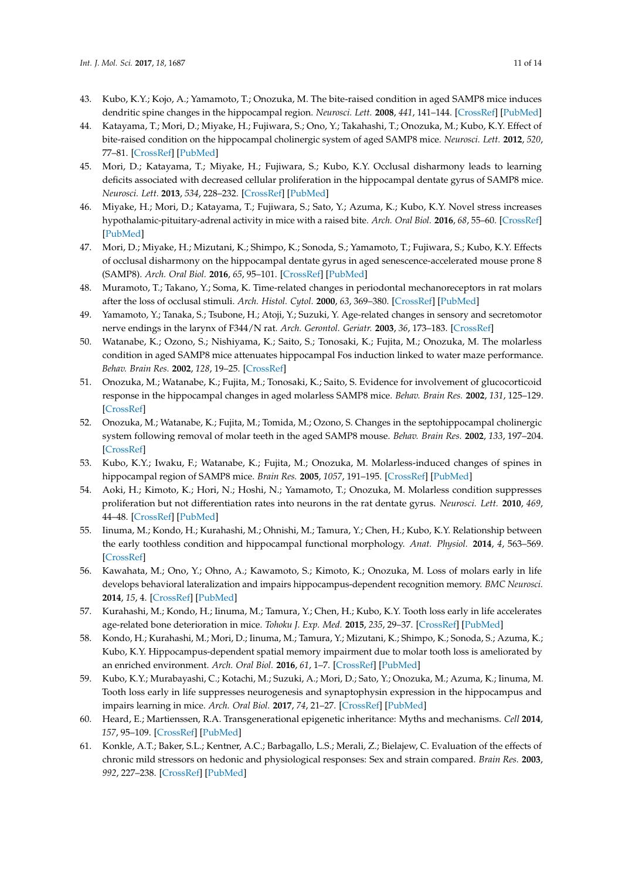- <span id="page-10-0"></span>43. Kubo, K.Y.; Kojo, A.; Yamamoto, T.; Onozuka, M. The bite-raised condition in aged SAMP8 mice induces dendritic spine changes in the hippocampal region. *Neurosci. Lett.* **2008**, *441*, 141–144. [\[CrossRef\]](http://dx.doi.org/10.1016/j.neulet.2008.05.027) [\[PubMed\]](http://www.ncbi.nlm.nih.gov/pubmed/18614288)
- <span id="page-10-15"></span>44. Katayama, T.; Mori, D.; Miyake, H.; Fujiwara, S.; Ono, Y.; Takahashi, T.; Onozuka, M.; Kubo, K.Y. Effect of bite-raised condition on the hippocampal cholinergic system of aged SAMP8 mice. *Neurosci. Lett.* **2012**, *520*, 77–81. [\[CrossRef\]](http://dx.doi.org/10.1016/j.neulet.2012.05.035) [\[PubMed\]](http://www.ncbi.nlm.nih.gov/pubmed/22640898)
- <span id="page-10-9"></span>45. Mori, D.; Katayama, T.; Miyake, H.; Fujiwara, S.; Kubo, K.Y. Occlusal disharmony leads to learning deficits associated with decreased cellular proliferation in the hippocampal dentate gyrus of SAMP8 mice. *Neurosci. Lett.* **2013**, *534*, 228–232. [\[CrossRef\]](http://dx.doi.org/10.1016/j.neulet.2012.12.004) [\[PubMed\]](http://www.ncbi.nlm.nih.gov/pubmed/23262093)
- <span id="page-10-14"></span>46. Miyake, H.; Mori, D.; Katayama, T.; Fujiwara, S.; Sato, Y.; Azuma, K.; Kubo, K.Y. Novel stress increases hypothalamic-pituitary-adrenal activity in mice with a raised bite. *Arch. Oral Biol.* **2016**, *68*, 55–60. [\[CrossRef\]](http://dx.doi.org/10.1016/j.archoralbio.2016.03.020) [\[PubMed\]](http://www.ncbi.nlm.nih.gov/pubmed/27082875)
- <span id="page-10-1"></span>47. Mori, D.; Miyake, H.; Mizutani, K.; Shimpo, K.; Sonoda, S.; Yamamoto, T.; Fujiwara, S.; Kubo, K.Y. Effects of occlusal disharmony on the hippocampal dentate gyrus in aged senescence-accelerated mouse prone 8 (SAMP8). *Arch. Oral Biol.* **2016**, *65*, 95–101. [\[CrossRef\]](http://dx.doi.org/10.1016/j.archoralbio.2016.01.015) [\[PubMed\]](http://www.ncbi.nlm.nih.gov/pubmed/26874024)
- <span id="page-10-2"></span>48. Muramoto, T.; Takano, Y.; Soma, K. Time-related changes in periodontal mechanoreceptors in rat molars after the loss of occlusal stimuli. *Arch. Histol. Cytol.* **2000**, *63*, 369–380. [\[CrossRef\]](http://dx.doi.org/10.1679/aohc.63.369) [\[PubMed\]](http://www.ncbi.nlm.nih.gov/pubmed/11073068)
- <span id="page-10-3"></span>49. Yamamoto, Y.; Tanaka, S.; Tsubone, H.; Atoji, Y.; Suzuki, Y. Age-related changes in sensory and secretomotor nerve endings in the larynx of F344/N rat. *Arch. Gerontol. Geriatr.* **2003**, *36*, 173–183. [\[CrossRef\]](http://dx.doi.org/10.1016/S0167-4943(02)00165-6)
- <span id="page-10-4"></span>50. Watanabe, K.; Ozono, S.; Nishiyama, K.; Saito, S.; Tonosaki, K.; Fujita, M.; Onozuka, M. The molarless condition in aged SAMP8 mice attenuates hippocampal Fos induction linked to water maze performance. *Behav. Brain Res.* **2002**, *128*, 19–25. [\[CrossRef\]](http://dx.doi.org/10.1016/S0166-4328(01)00268-6)
- <span id="page-10-12"></span>51. Onozuka, M.; Watanabe, K.; Fujita, M.; Tonosaki, K.; Saito, S. Evidence for involvement of glucocorticoid response in the hippocampal changes in aged molarless SAMP8 mice. *Behav. Brain Res.* **2002**, *131*, 125–129. [\[CrossRef\]](http://dx.doi.org/10.1016/S0166-4328(01)00378-3)
- 52. Onozuka, M.; Watanabe, K.; Fujita, M.; Tomida, M.; Ozono, S. Changes in the septohippocampal cholinergic system following removal of molar teeth in the aged SAMP8 mouse. *Behav. Brain Res.* **2002**, *133*, 197–204. [\[CrossRef\]](http://dx.doi.org/10.1016/S0166-4328(02)00006-2)
- <span id="page-10-6"></span>53. Kubo, K.Y.; Iwaku, F.; Watanabe, K.; Fujita, M.; Onozuka, M. Molarless-induced changes of spines in hippocampal region of SAMP8 mice. *Brain Res.* **2005**, *1057*, 191–195. [\[CrossRef\]](http://dx.doi.org/10.1016/j.brainres.2005.07.038) [\[PubMed\]](http://www.ncbi.nlm.nih.gov/pubmed/16112090)
- 54. Aoki, H.; Kimoto, K.; Hori, N.; Hoshi, N.; Yamamoto, T.; Onozuka, M. Molarless condition suppresses proliferation but not differentiation rates into neurons in the rat dentate gyrus. *Neurosci. Lett.* **2010**, *469*, 44–48. [\[CrossRef\]](http://dx.doi.org/10.1016/j.neulet.2009.11.041) [\[PubMed\]](http://www.ncbi.nlm.nih.gov/pubmed/19931591)
- <span id="page-10-8"></span>55. Iinuma, M.; Kondo, H.; Kurahashi, M.; Ohnishi, M.; Tamura, Y.; Chen, H.; Kubo, K.Y. Relationship between the early toothless condition and hippocampal functional morphology. *Anat. Physiol.* **2014**, *4*, 563–569. [\[CrossRef\]](http://dx.doi.org/10.4172/2161-0940.1000149)
- 56. Kawahata, M.; Ono, Y.; Ohno, A.; Kawamoto, S.; Kimoto, K.; Onozuka, M. Loss of molars early in life develops behavioral lateralization and impairs hippocampus-dependent recognition memory. *BMC Neurosci.* **2014**, *15*, 4. [\[CrossRef\]](http://dx.doi.org/10.1186/1471-2202-15-4) [\[PubMed\]](http://www.ncbi.nlm.nih.gov/pubmed/24387332)
- <span id="page-10-5"></span>57. Kurahashi, M.; Kondo, H.; Iinuma, M.; Tamura, Y.; Chen, H.; Kubo, K.Y. Tooth loss early in life accelerates age-related bone deterioration in mice. *Tohoku J. Exp. Med.* **2015**, *235*, 29–37. [\[CrossRef\]](http://dx.doi.org/10.1620/tjem.235.29) [\[PubMed\]](http://www.ncbi.nlm.nih.gov/pubmed/25744201)
- <span id="page-10-10"></span>58. Kondo, H.; Kurahashi, M.; Mori, D.; Iinuma, M.; Tamura, Y.; Mizutani, K.; Shimpo, K.; Sonoda, S.; Azuma, K.; Kubo, K.Y. Hippocampus-dependent spatial memory impairment due to molar tooth loss is ameliorated by an enriched environment. *Arch. Oral Biol.* **2016**, *61*, 1–7. [\[CrossRef\]](http://dx.doi.org/10.1016/j.archoralbio.2015.10.006) [\[PubMed\]](http://www.ncbi.nlm.nih.gov/pubmed/26476746)
- <span id="page-10-7"></span>59. Kubo, K.Y.; Murabayashi, C.; Kotachi, M.; Suzuki, A.; Mori, D.; Sato, Y.; Onozuka, M.; Azuma, K.; Iinuma, M. Tooth loss early in life suppresses neurogenesis and synaptophysin expression in the hippocampus and impairs learning in mice. *Arch. Oral Biol.* **2017**, *74*, 21–27. [\[CrossRef\]](http://dx.doi.org/10.1016/j.archoralbio.2016.11.005) [\[PubMed\]](http://www.ncbi.nlm.nih.gov/pubmed/27846401)
- <span id="page-10-11"></span>60. Heard, E.; Martienssen, R.A. Transgenerational epigenetic inheritance: Myths and mechanisms. *Cell* **2014**, *157*, 95–109. [\[CrossRef\]](http://dx.doi.org/10.1016/j.cell.2014.02.045) [\[PubMed\]](http://www.ncbi.nlm.nih.gov/pubmed/24679529)
- <span id="page-10-13"></span>61. Konkle, A.T.; Baker, S.L.; Kentner, A.C.; Barbagallo, L.S.; Merali, Z.; Bielajew, C. Evaluation of the effects of chronic mild stressors on hedonic and physiological responses: Sex and strain compared. *Brain Res.* **2003**, *992*, 227–238. [\[CrossRef\]](http://dx.doi.org/10.1016/j.brainres.2003.08.047) [\[PubMed\]](http://www.ncbi.nlm.nih.gov/pubmed/14625061)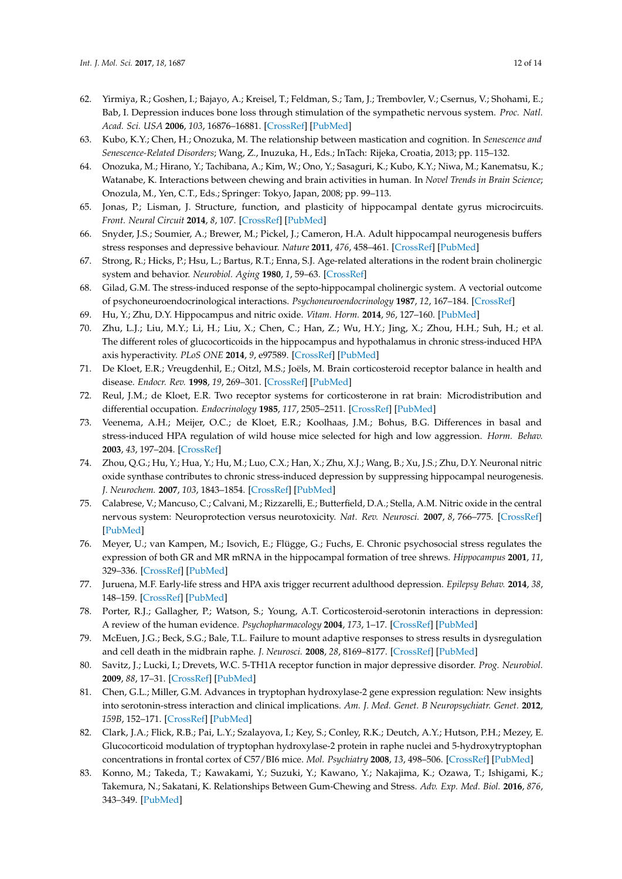- <span id="page-11-0"></span>62. Yirmiya, R.; Goshen, I.; Bajayo, A.; Kreisel, T.; Feldman, S.; Tam, J.; Trembovler, V.; Csernus, V.; Shohami, E.; Bab, I. Depression induces bone loss through stimulation of the sympathetic nervous system. *Proc. Natl. Acad. Sci. USA* **2006**, *103*, 16876–16881. [\[CrossRef\]](http://dx.doi.org/10.1073/pnas.0604234103) [\[PubMed\]](http://www.ncbi.nlm.nih.gov/pubmed/17075068)
- <span id="page-11-1"></span>63. Kubo, K.Y.; Chen, H.; Onozuka, M. The relationship between mastication and cognition. In *Senescence and Senescence-Related Disorders*; Wang, Z., Inuzuka, H., Eds.; InTach: Rijeka, Croatia, 2013; pp. 115–132.
- <span id="page-11-2"></span>64. Onozuka, M.; Hirano, Y.; Tachibana, A.; Kim, W.; Ono, Y.; Sasaguri, K.; Kubo, K.Y.; Niwa, M.; Kanematsu, K.; Watanabe, K. Interactions between chewing and brain activities in human. In *Novel Trends in Brain Science*; Onozula, M., Yen, C.T., Eds.; Springer: Tokyo, Japan, 2008; pp. 99–113.
- <span id="page-11-3"></span>65. Jonas, P.; Lisman, J. Structure, function, and plasticity of hippocampal dentate gyrus microcircuits. *Front. Neural Circuit* **2014**, *8*, 107. [\[CrossRef\]](http://dx.doi.org/10.3389/fncir.2014.00107) [\[PubMed\]](http://www.ncbi.nlm.nih.gov/pubmed/25309334)
- <span id="page-11-4"></span>66. Snyder, J.S.; Soumier, A.; Brewer, M.; Pickel, J.; Cameron, H.A. Adult hippocampal neurogenesis buffers stress responses and depressive behaviour. *Nature* **2011**, *476*, 458–461. [\[CrossRef\]](http://dx.doi.org/10.1038/nature10287) [\[PubMed\]](http://www.ncbi.nlm.nih.gov/pubmed/21814201)
- <span id="page-11-5"></span>67. Strong, R.; Hicks, P.; Hsu, L.; Bartus, R.T.; Enna, S.J. Age-related alterations in the rodent brain cholinergic system and behavior. *Neurobiol. Aging* **1980**, *1*, 59–63. [\[CrossRef\]](http://dx.doi.org/10.1016/0197-4580(80)90025-1)
- <span id="page-11-6"></span>68. Gilad, G.M. The stress-induced response of the septo-hippocampal cholinergic system. A vectorial outcome of psychoneuroendocrinological interactions. *Psychoneuroendocrinology* **1987**, *12*, 167–184. [\[CrossRef\]](http://dx.doi.org/10.1016/0306-4530(87)90002-3)
- <span id="page-11-7"></span>69. Hu, Y.; Zhu, D.Y. Hippocampus and nitric oxide. *Vitam. Horm.* **2014**, *96*, 127–160. [\[PubMed\]](http://www.ncbi.nlm.nih.gov/pubmed/25189386)
- <span id="page-11-8"></span>70. Zhu, L.J.; Liu, M.Y.; Li, H.; Liu, X.; Chen, C.; Han, Z.; Wu, H.Y.; Jing, X.; Zhou, H.H.; Suh, H.; et al. The different roles of glucocorticoids in the hippocampus and hypothalamus in chronic stress-induced HPA axis hyperactivity. *PLoS ONE* **2014**, *9*, e97589. [\[CrossRef\]](http://dx.doi.org/10.1371/journal.pone.0097689) [\[PubMed\]](http://www.ncbi.nlm.nih.gov/pubmed/24831808)
- <span id="page-11-9"></span>71. De Kloet, E.R.; Vreugdenhil, E.; Oitzl, M.S.; Joëls, M. Brain corticosteroid receptor balance in health and disease. *Endocr. Rev.* **1998**, *19*, 269–301. [\[CrossRef\]](http://dx.doi.org/10.1210/er.19.3.269) [\[PubMed\]](http://www.ncbi.nlm.nih.gov/pubmed/9626555)
- <span id="page-11-10"></span>72. Reul, J.M.; de Kloet, E.R. Two receptor systems for corticosterone in rat brain: Microdistribution and differential occupation. *Endocrinology* **1985**, *117*, 2505–2511. [\[CrossRef\]](http://dx.doi.org/10.1210/endo-117-6-2505) [\[PubMed\]](http://www.ncbi.nlm.nih.gov/pubmed/2998738)
- <span id="page-11-11"></span>73. Veenema, A.H.; Meijer, O.C.; de Kloet, E.R.; Koolhaas, J.M.; Bohus, B.G. Differences in basal and stress-induced HPA regulation of wild house mice selected for high and low aggression. *Horm. Behav.* **2003**, *43*, 197–204. [\[CrossRef\]](http://dx.doi.org/10.1016/S0018-506X(02)00013-2)
- <span id="page-11-12"></span>74. Zhou, Q.G.; Hu, Y.; Hua, Y.; Hu, M.; Luo, C.X.; Han, X.; Zhu, X.J.; Wang, B.; Xu, J.S.; Zhu, D.Y. Neuronal nitric oxide synthase contributes to chronic stress-induced depression by suppressing hippocampal neurogenesis. *J. Neurochem.* **2007**, *103*, 1843–1854. [\[CrossRef\]](http://dx.doi.org/10.1111/j.1471-4159.2007.04914.x) [\[PubMed\]](http://www.ncbi.nlm.nih.gov/pubmed/17854383)
- <span id="page-11-13"></span>75. Calabrese, V.; Mancuso, C.; Calvani, M.; Rizzarelli, E.; Butterfield, D.A.; Stella, A.M. Nitric oxide in the central nervous system: Neuroprotection versus neurotoxicity. *Nat. Rev. Neurosci.* **2007**, *8*, 766–775. [\[CrossRef\]](http://dx.doi.org/10.1038/nrn2214) [\[PubMed\]](http://www.ncbi.nlm.nih.gov/pubmed/17882254)
- <span id="page-11-14"></span>76. Meyer, U.; van Kampen, M.; Isovich, E.; Flügge, G.; Fuchs, E. Chronic psychosocial stress regulates the expression of both GR and MR mRNA in the hippocampal formation of tree shrews. *Hippocampus* **2001**, *11*, 329–336. [\[CrossRef\]](http://dx.doi.org/10.1002/hipo.1047) [\[PubMed\]](http://www.ncbi.nlm.nih.gov/pubmed/11769314)
- <span id="page-11-15"></span>77. Juruena, M.F. Early-life stress and HPA axis trigger recurrent adulthood depression. *Epilepsy Behav.* **2014**, *38*, 148–159. [\[CrossRef\]](http://dx.doi.org/10.1016/j.yebeh.2013.10.020) [\[PubMed\]](http://www.ncbi.nlm.nih.gov/pubmed/24269030)
- <span id="page-11-16"></span>78. Porter, R.J.; Gallagher, P.; Watson, S.; Young, A.T. Corticosteroid-serotonin interactions in depression: A review of the human evidence. *Psychopharmacology* **2004**, *173*, 1–17. [\[CrossRef\]](http://dx.doi.org/10.1007/s00213-004-1774-1) [\[PubMed\]](http://www.ncbi.nlm.nih.gov/pubmed/15007595)
- <span id="page-11-17"></span>79. McEuen, J.G.; Beck, S.G.; Bale, T.L. Failure to mount adaptive responses to stress results in dysregulation and cell death in the midbrain raphe. *J. Neurosci.* **2008**, *28*, 8169–8177. [\[CrossRef\]](http://dx.doi.org/10.1523/JNEUROSCI.0004-08.2008) [\[PubMed\]](http://www.ncbi.nlm.nih.gov/pubmed/18701679)
- <span id="page-11-18"></span>80. Savitz, J.; Lucki, I.; Drevets, W.C. 5-TH1A receptor function in major depressive disorder. *Prog. Neurobiol.* **2009**, *88*, 17–31. [\[CrossRef\]](http://dx.doi.org/10.1016/j.pneurobio.2009.01.009) [\[PubMed\]](http://www.ncbi.nlm.nih.gov/pubmed/19428959)
- <span id="page-11-19"></span>81. Chen, G.L.; Miller, G.M. Advances in tryptophan hydroxylase-2 gene expression regulation: New insights into serotonin-stress interaction and clinical implications. *Am. J. Med. Genet. B Neuropsychiatr. Genet.* **2012**, *159B*, 152–171. [\[CrossRef\]](http://dx.doi.org/10.1002/ajmg.b.32023) [\[PubMed\]](http://www.ncbi.nlm.nih.gov/pubmed/22241550)
- <span id="page-11-20"></span>82. Clark, J.A.; Flick, R.B.; Pai, L.Y.; Szalayova, I.; Key, S.; Conley, R.K.; Deutch, A.Y.; Hutson, P.H.; Mezey, E. Glucocorticoid modulation of tryptophan hydroxylase-2 protein in raphe nuclei and 5-hydroxytryptophan concentrations in frontal cortex of C57/BI6 mice. *Mol. Psychiatry* **2008**, *13*, 498–506. [\[CrossRef\]](http://dx.doi.org/10.1038/sj.mp.4002041) [\[PubMed\]](http://www.ncbi.nlm.nih.gov/pubmed/17622221)
- <span id="page-11-21"></span>83. Konno, M.; Takeda, T.; Kawakami, Y.; Suzuki, Y.; Kawano, Y.; Nakajima, K.; Ozawa, T.; Ishigami, K.; Takemura, N.; Sakatani, K. Relationships Between Gum-Chewing and Stress. *Adv. Exp. Med. Biol.* **2016**, *876*, 343–349. [\[PubMed\]](http://www.ncbi.nlm.nih.gov/pubmed/26782231)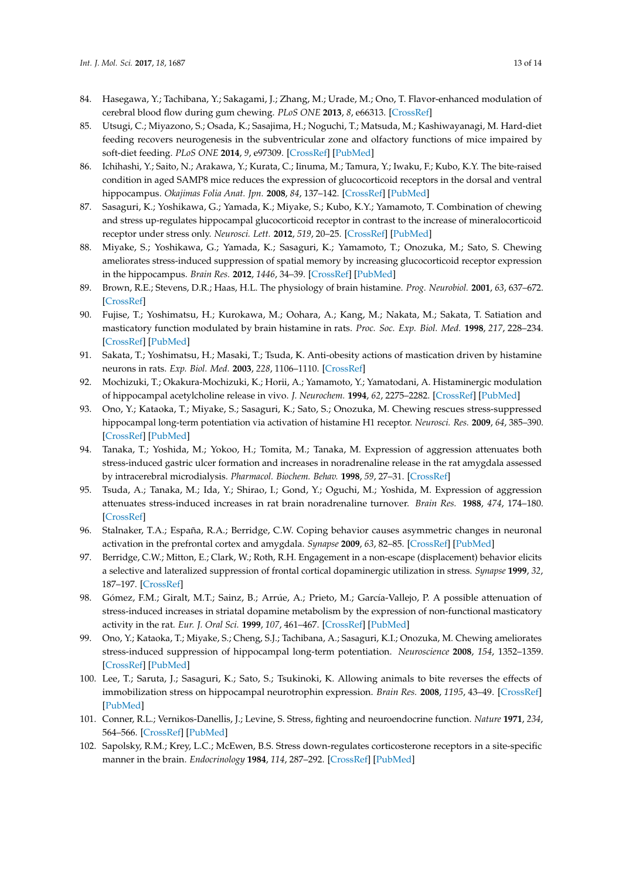- <span id="page-12-0"></span>84. Hasegawa, Y.; Tachibana, Y.; Sakagami, J.; Zhang, M.; Urade, M.; Ono, T. Flavor-enhanced modulation of cerebral blood flow during gum chewing. *PLoS ONE* **2013**, *8*, e66313. [\[CrossRef\]](http://dx.doi.org/10.1371/annotation/d1f70d63-1261-49c1-9499-6ef5763a6c90)
- <span id="page-12-1"></span>85. Utsugi, C.; Miyazono, S.; Osada, K.; Sasajima, H.; Noguchi, T.; Matsuda, M.; Kashiwayanagi, M. Hard-diet feeding recovers neurogenesis in the subventricular zone and olfactory functions of mice impaired by soft-diet feeding. *PLoS ONE* **2014**, *9*, e97309. [\[CrossRef\]](http://dx.doi.org/10.1371/journal.pone.0097309) [\[PubMed\]](http://www.ncbi.nlm.nih.gov/pubmed/24817277)
- <span id="page-12-2"></span>86. Ichihashi, Y.; Saito, N.; Arakawa, Y.; Kurata, C.; Iinuma, M.; Tamura, Y.; Iwaku, F.; Kubo, K.Y. The bite-raised condition in aged SAMP8 mice reduces the expression of glucocorticoid receptors in the dorsal and ventral hippocampus. *Okajimas Folia Anat. Jpn.* **2008**, *84*, 137–142. [\[CrossRef\]](http://dx.doi.org/10.2535/ofaj.84.137) [\[PubMed\]](http://www.ncbi.nlm.nih.gov/pubmed/18464530)
- 87. Sasaguri, K.; Yoshikawa, G.; Yamada, K.; Miyake, S.; Kubo, K.Y.; Yamamoto, T. Combination of chewing and stress up-regulates hippocampal glucocorticoid receptor in contrast to the increase of mineralocorticoid receptor under stress only. *Neurosci. Lett.* **2012**, *519*, 20–25. [\[CrossRef\]](http://dx.doi.org/10.1016/j.neulet.2012.04.080) [\[PubMed\]](http://www.ncbi.nlm.nih.gov/pubmed/22579827)
- <span id="page-12-3"></span>88. Miyake, S.; Yoshikawa, G.; Yamada, K.; Sasaguri, K.; Yamamoto, T.; Onozuka, M.; Sato, S. Chewing ameliorates stress-induced suppression of spatial memory by increasing glucocorticoid receptor expression in the hippocampus. *Brain Res.* **2012**, *1446*, 34–39. [\[CrossRef\]](http://dx.doi.org/10.1016/j.brainres.2012.01.011) [\[PubMed\]](http://www.ncbi.nlm.nih.gov/pubmed/22353752)
- <span id="page-12-4"></span>89. Brown, R.E.; Stevens, D.R.; Haas, H.L. The physiology of brain histamine. *Prog. Neurobiol.* **2001**, *63*, 637–672. [\[CrossRef\]](http://dx.doi.org/10.1016/S0301-0082(00)00039-3)
- <span id="page-12-5"></span>90. Fujise, T.; Yoshimatsu, H.; Kurokawa, M.; Oohara, A.; Kang, M.; Nakata, M.; Sakata, T. Satiation and masticatory function modulated by brain histamine in rats. *Proc. Soc. Exp. Biol. Med.* **1998**, *217*, 228–234. [\[CrossRef\]](http://dx.doi.org/10.3181/00379727-217-44227) [\[PubMed\]](http://www.ncbi.nlm.nih.gov/pubmed/9452148)
- <span id="page-12-6"></span>91. Sakata, T.; Yoshimatsu, H.; Masaki, T.; Tsuda, K. Anti-obesity actions of mastication driven by histamine neurons in rats. *Exp. Biol. Med.* **2003**, *228*, 1106–1110. [\[CrossRef\]](http://dx.doi.org/10.1177/153537020322801002)
- <span id="page-12-7"></span>92. Mochizuki, T.; Okakura-Mochizuki, K.; Horii, A.; Yamamoto, Y.; Yamatodani, A. Histaminergic modulation of hippocampal acetylcholine release in vivo. *J. Neurochem.* **1994**, *62*, 2275–2282. [\[CrossRef\]](http://dx.doi.org/10.1046/j.1471-4159.1994.62062275.x) [\[PubMed\]](http://www.ncbi.nlm.nih.gov/pubmed/7910631)
- <span id="page-12-8"></span>93. Ono, Y.; Kataoka, T.; Miyake, S.; Sasaguri, K.; Sato, S.; Onozuka, M. Chewing rescues stress-suppressed hippocampal long-term potentiation via activation of histamine H1 receptor. *Neurosci. Res.* **2009**, *64*, 385–390. [\[CrossRef\]](http://dx.doi.org/10.1016/j.neures.2009.04.011) [\[PubMed\]](http://www.ncbi.nlm.nih.gov/pubmed/19393269)
- <span id="page-12-9"></span>94. Tanaka, T.; Yoshida, M.; Yokoo, H.; Tomita, M.; Tanaka, M. Expression of aggression attenuates both stress-induced gastric ulcer formation and increases in noradrenaline release in the rat amygdala assessed by intracerebral microdialysis. *Pharmacol. Biochem. Behav.* **1998**, *59*, 27–31. [\[CrossRef\]](http://dx.doi.org/10.1016/S0091-3057(97)00312-2)
- <span id="page-12-10"></span>95. Tsuda, A.; Tanaka, M.; Ida, Y.; Shirao, I.; Gond, Y.; Oguchi, M.; Yoshida, M. Expression of aggression attenuates stress-induced increases in rat brain noradrenaline turnover. *Brain Res.* **1988**, *474*, 174–180. [\[CrossRef\]](http://dx.doi.org/10.1016/0006-8993(88)90680-4)
- <span id="page-12-11"></span>96. Stalnaker, T.A.; España, R.A.; Berridge, C.W. Coping behavior causes asymmetric changes in neuronal activation in the prefrontal cortex and amygdala. *Synapse* **2009**, *63*, 82–85. [\[CrossRef\]](http://dx.doi.org/10.1002/syn.20583) [\[PubMed\]](http://www.ncbi.nlm.nih.gov/pubmed/18932226)
- <span id="page-12-12"></span>97. Berridge, C.W.; Mitton, E.; Clark, W.; Roth, R.H. Engagement in a non-escape (displacement) behavior elicits a selective and lateralized suppression of frontal cortical dopaminergic utilization in stress. *Synapse* **1999**, *32*, 187–197. [\[CrossRef\]](http://dx.doi.org/10.1002/(SICI)1098-2396(19990601)32:3<187::AID-SYN5>3.0.CO;2-9)
- <span id="page-12-13"></span>98. Gómez, F.M.; Giralt, M.T.; Sainz, B.; Arrúe, A.; Prieto, M.; García-Vallejo, P. A possible attenuation of stress-induced increases in striatal dopamine metabolism by the expression of non-functional masticatory activity in the rat. *Eur. J. Oral Sci.* **1999**, *107*, 461–467. [\[CrossRef\]](http://dx.doi.org/10.1046/j.0909-8836.1999.eos107607.x) [\[PubMed\]](http://www.ncbi.nlm.nih.gov/pubmed/10625105)
- <span id="page-12-14"></span>99. Ono, Y.; Kataoka, T.; Miyake, S.; Cheng, S.J.; Tachibana, A.; Sasaguri, K.I.; Onozuka, M. Chewing ameliorates stress-induced suppression of hippocampal long-term potentiation. *Neuroscience* **2008**, *154*, 1352–1359. [\[CrossRef\]](http://dx.doi.org/10.1016/j.neuroscience.2008.04.057) [\[PubMed\]](http://www.ncbi.nlm.nih.gov/pubmed/18534765)
- <span id="page-12-15"></span>100. Lee, T.; Saruta, J.; Sasaguri, K.; Sato, S.; Tsukinoki, K. Allowing animals to bite reverses the effects of immobilization stress on hippocampal neurotrophin expression. *Brain Res.* **2008**, *1195*, 43–49. [\[CrossRef\]](http://dx.doi.org/10.1016/j.brainres.2007.12.013) [\[PubMed\]](http://www.ncbi.nlm.nih.gov/pubmed/18191115)
- <span id="page-12-16"></span>101. Conner, R.L.; Vernikos-Danellis, J.; Levine, S. Stress, fighting and neuroendocrine function. *Nature* **1971**, *234*, 564–566. [\[CrossRef\]](http://dx.doi.org/10.1038/234564a0) [\[PubMed\]](http://www.ncbi.nlm.nih.gov/pubmed/4334190)
- <span id="page-12-17"></span>102. Sapolsky, R.M.; Krey, L.C.; McEwen, B.S. Stress down-regulates corticosterone receptors in a site-specific manner in the brain. *Endocrinology* **1984**, *114*, 287–292. [\[CrossRef\]](http://dx.doi.org/10.1210/endo-114-1-287) [\[PubMed\]](http://www.ncbi.nlm.nih.gov/pubmed/6690273)